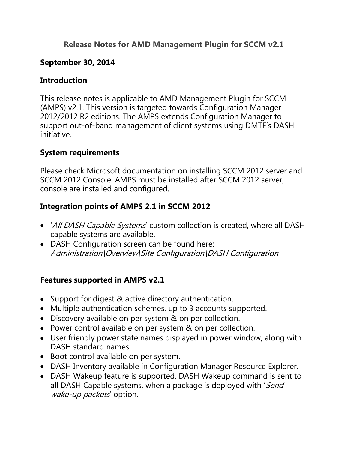## **Release Notes for AMD Management Plugin for SCCM v2.1**

### **September 30, 2014**

### **Introduction**

This release notes is applicable to AMD Management Plugin for SCCM (AMPS) v2.1. This version is targeted towards Configuration Manager 2012/2012 R2 editions. The AMPS extends Configuration Manager to support out-of-band management of client systems using DMTF's DASH initiative.

## **System requirements**

Please check Microsoft documentation on installing SCCM 2012 server and SCCM 2012 Console. AMPS must be installed after SCCM 2012 server, console are installed and configured.

## **Integration points of AMPS 2.1 in SCCM 2012**

- 'All DASH Capable Systems' custom collection is created, where all DASH capable systems are available.
- DASH Configuration screen can be found here: Administration\Overview\Site Configuration\DASH Configuration

# **Features supported in AMPS v2.1**

- Support for digest & active directory authentication.
- Multiple authentication schemes, up to 3 accounts supported.
- Discovery available on per system & on per collection.
- Power control available on per system & on per collection.
- User friendly power state names displayed in power window, along with DASH standard names.
- Boot control available on per system.
- DASH Inventory available in Configuration Manager Resource Explorer.
- DASH Wakeup feature is supported. DASH Wakeup command is sent to all DASH Capable systems, when a package is deployed with 'Send' wake-up packets' option.